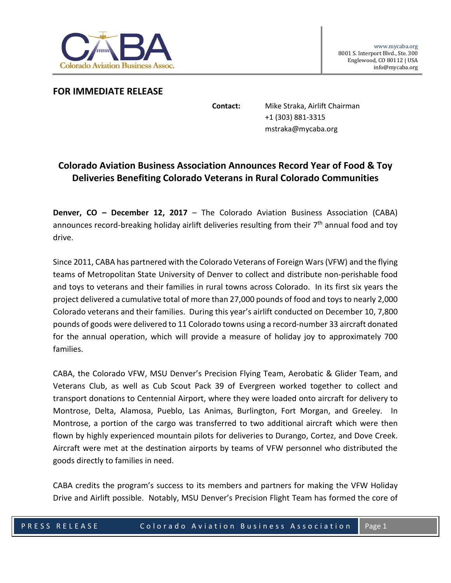

**FOR IMMEDIATE RELEASE**

**Contact:** Mike Straka, Airlift Chairman +1 (303) 881-3315 mstraka@mycaba.org

## **Colorado Aviation Business Association Announces Record Year of Food & Toy Deliveries Benefiting Colorado Veterans in Rural Colorado Communities**

**Denver, CO – December 12, 2017** – The Colorado Aviation Business Association (CABA) announces record-breaking holiday airlift deliveries resulting from their 7<sup>th</sup> annual food and toy drive.

Since 2011, CABA has partnered with the Colorado Veterans of Foreign Wars (VFW) and the flying teams of Metropolitan State University of Denver to collect and distribute non-perishable food and toys to veterans and their families in rural towns across Colorado. In its first six years the project delivered a cumulative total of more than 27,000 pounds of food and toys to nearly 2,000 Colorado veterans and their families. During this year's airlift conducted on December 10, 7,800 pounds of goods were delivered to 11 Colorado towns using a record-number 33 aircraft donated for the annual operation, which will provide a measure of holiday joy to approximately 700 families.

CABA, the Colorado VFW, MSU Denver's Precision Flying Team, Aerobatic & Glider Team, and Veterans Club, as well as Cub Scout Pack 39 of Evergreen worked together to collect and transport donations to Centennial Airport, where they were loaded onto aircraft for delivery to Montrose, Delta, Alamosa, Pueblo, Las Animas, Burlington, Fort Morgan, and Greeley. In Montrose, a portion of the cargo was transferred to two additional aircraft which were then flown by highly experienced mountain pilots for deliveries to Durango, Cortez, and Dove Creek. Aircraft were met at the destination airports by teams of VFW personnel who distributed the goods directly to families in need.

CABA credits the program's success to its members and partners for making the VFW Holiday Drive and Airlift possible. Notably, MSU Denver's Precision Flight Team has formed the core of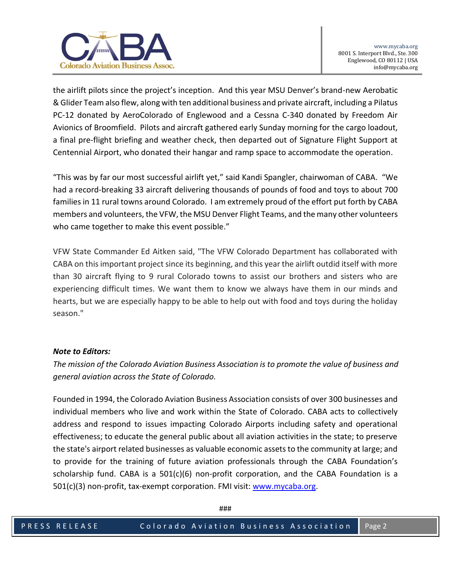

the airlift pilots since the project's inception. And this year MSU Denver's brand-new Aerobatic & Glider Team also flew, along with ten additional business and private aircraft, including a Pilatus PC-12 donated by AeroColorado of Englewood and a Cessna C-340 donated by Freedom Air Avionics of Broomfield. Pilots and aircraft gathered early Sunday morning for the cargo loadout, a final pre-flight briefing and weather check, then departed out of Signature Flight Support at Centennial Airport, who donated their hangar and ramp space to accommodate the operation.

"This was by far our most successful airlift yet," said Kandi Spangler, chairwoman of CABA. "We had a record-breaking 33 aircraft delivering thousands of pounds of food and toys to about 700 families in 11 rural towns around Colorado. I am extremely proud of the effort put forth by CABA members and volunteers, the VFW, the MSU Denver Flight Teams, and the many other volunteers who came together to make this event possible."

VFW State Commander Ed Aitken said, "The VFW Colorado Department has collaborated with CABA on this important project since its beginning, and this year the airlift outdid itself with more than 30 aircraft flying to 9 rural Colorado towns to assist our brothers and sisters who are experiencing difficult times. We want them to know we always have them in our minds and hearts, but we are especially happy to be able to help out with food and toys during the holiday season."

## *Note to Editors:*

*The mission of the Colorado Aviation Business Association is to promote the value of business and general aviation across the State of Colorado.* 

Founded in 1994, the Colorado Aviation Business Association consists of over 300 businesses and individual members who live and work within the State of Colorado. CABA acts to collectively address and respond to issues impacting Colorado Airports including safety and operational effectiveness; to educate the general public about all aviation activities in the state; to preserve the state's airport related businesses as valuable economic assets to the community at large; and to provide for the training of future aviation professionals through the CABA Foundation's scholarship fund. CABA is a  $501(c)(6)$  non-profit corporation, and the CABA Foundation is a 501(c)(3) non-profit, tax-exempt corporation. FMI visit: [www.mycaba.org.](http://www.mycaba.org/)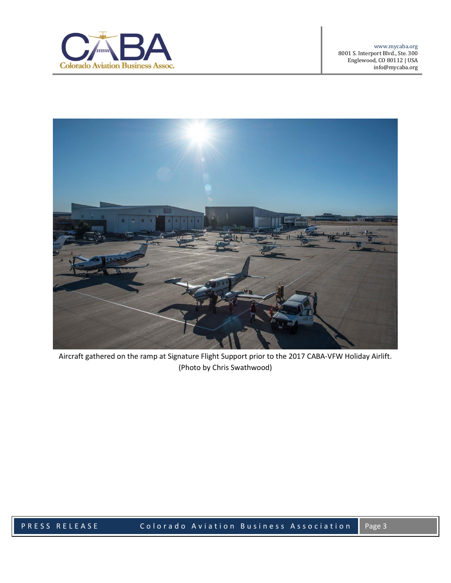



Aircraft gathered on the ramp at Signature Flight Support prior to the 2017 CABA-VFW Holiday Airlift. (Photo by Chris Swathwood)